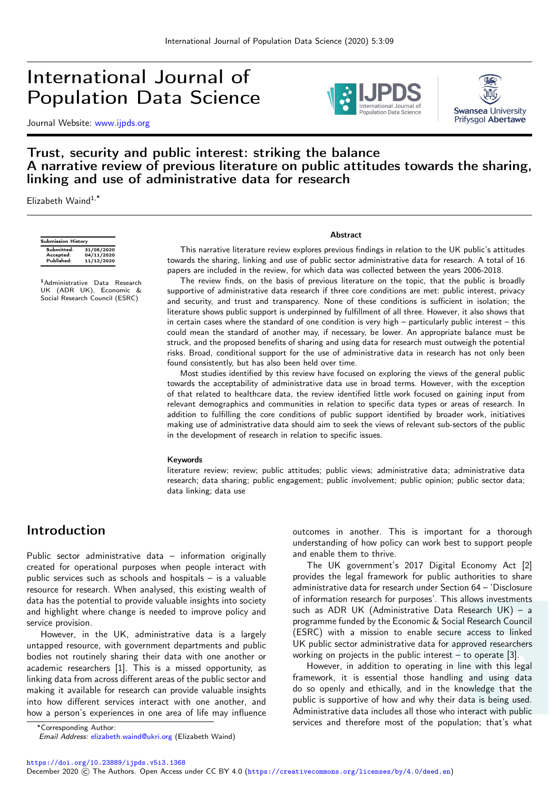# International Journal of Population Data Science

Journal Website: [www.ijpds.org](http://www.ijpds.org)





### Trust, security and public interest: striking the balance A narrative review of previous literature on public attitudes towards the sharing, linking and use of administrative data for research

Elizabeth Waind $1,*$ 

| <b>Submission History</b> |            |  |
|---------------------------|------------|--|
| Submitted:                | 31/05/2020 |  |
| Accepted:                 | 04/11/2020 |  |
| Published:                | 11/12/2020 |  |

<sup>1</sup> Administrative Data Research<br>UK (ADR UK), Economic &<br>Social Research Council (ESRC)

#### Abstract

This narrative literature review explores previous findings in relation to the UK public's attitudes towards the sharing, linking and use of public sector administrative data for research. A total of 16 papers are included in the review, for which data was collected between the years 2006-2018.

The review finds, on the basis of previous literature on the topic, that the public is broadly supportive of administrative data research if three core conditions are met: public interest, privacy and security, and trust and transparency. None of these conditions is sufficient in isolation; the literature shows public support is underpinned by fulfillment of all three. However, it also shows that in certain cases where the standard of one condition is very high – particularly public interest – this could mean the standard of another may, if necessary, be lower. An appropriate balance must be struck, and the proposed benefits of sharing and using data for research must outweigh the potential risks. Broad, conditional support for the use of administrative data in research has not only been found consistently, but has also been held over time.

Most studies identified by this review have focused on exploring the views of the general public towards the acceptability of administrative data use in broad terms. However, with the exception of that related to healthcare data, the review identified little work focused on gaining input from relevant demographics and communities in relation to specific data types or areas of research. In addition to fulfilling the core conditions of public support identified by broader work, initiatives making use of administrative data should aim to seek the views of relevant sub-sectors of the public in the development of research in relation to specific issues.

#### Keywords

literature review; review; public attitudes; public views; administrative data; administrative data research; data sharing; public engagement; public involvement; public opinion; public sector data; data linking; data use

## Introduction

Public sector administrative data – information originally created for operational purposes when people interact with public services such as schools and hospitals – is a valuable resource for research. When analysed, this existing wealth of data has the potential to provide valuable insights into society and highlight where change is needed to improve policy and service provision.

However, in the UK, administrative data is a largely untapped resource, with government departments and public bodies not routinely sharing their data with one another or academic researchers [1]. This is a missed opportunity, as linking data from across different areas of the public sector and making it available for research can provide valuable insights into how different services interact with one another, and how a person's experiences in one area of life may influence

outcomes in another. This is important for a thorough understanding of how policy can work best to support people and enable them to thrive.

The UK government's 2017 Digital Economy Act [2] provides the legal framework for public authorities to share administrative data for research under Section 64 – 'Disclosure of information research for purposes'. This allows investments such as ADR UK (Administrative Data Research UK) – a programme funded by the Economic & Social Research Council (ESRC) with a mission to enable secure access to linked UK public sector administrative data for approved researchers working on projects in the public interest – to operate [3].

However, in addition to operating in line with this legal framework, it is essential those handling and using data do so openly and ethically, and in the knowledge that the public is supportive of how and why their data is being used. Administrative data includes all those who interact with public services and therefore most of the population; that's what

<https://doi.org/10.23889/ijpds.v5i3.1368>

<sup>∗</sup>Corresponding Author:

Email Address: [elizabeth.waind@ukri.org](mailto:elizabeth.waind@ukri.org) (Elizabeth Waind)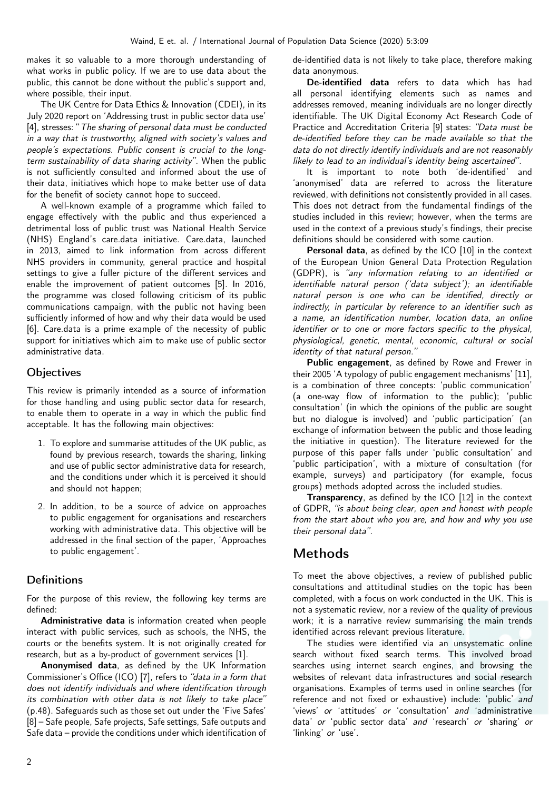makes it so valuable to a more thorough understanding of what works in public policy. If we are to use data about the public, this cannot be done without the public's support and, where possible, their input.

The UK Centre for Data Ethics & Innovation (CDEI), in its July 2020 report on 'Addressing trust in public sector data use' [4], stresses: "The sharing of personal data must be conducted in a way that is trustworthy, aligned with society's values and people's expectations. Public consent is crucial to the longterm sustainability of data sharing activity". When the public is not sufficiently consulted and informed about the use of their data, initiatives which hope to make better use of data for the benefit of society cannot hope to succeed.

A well-known example of a programme which failed to engage effectively with the public and thus experienced a detrimental loss of public trust was National Health Service (NHS) England's care.data initiative. Care.data, launched in 2013, aimed to link information from across different NHS providers in community, general practice and hospital settings to give a fuller picture of the different services and enable the improvement of patient outcomes [5]. In 2016, the programme was closed following criticism of its public communications campaign, with the public not having been sufficiently informed of how and why their data would be used [6]. Care.data is a prime example of the necessity of public support for initiatives which aim to make use of public sector administrative data.

### **Objectives**

This review is primarily intended as a source of information for those handling and using public sector data for research, to enable them to operate in a way in which the public find acceptable. It has the following main objectives:

- 1. To explore and summarise attitudes of the UK public, as found by previous research, towards the sharing, linking and use of public sector administrative data for research, and the conditions under which it is perceived it should and should not happen;
- 2. In addition, to be a source of advice on approaches to public engagement for organisations and researchers working with administrative data. This objective will be addressed in the final section of the paper, 'Approaches to public engagement'.

### **Definitions**

For the purpose of this review, the following key terms are defined:

Administrative data is information created when people interact with public services, such as schools, the NHS, the courts or the benefits system. It is not originally created for research, but as a by-product of government services [1].

Anonymised data, as defined by the UK Information Commissioner's Office (ICO) [7], refers to "data in a form that does not identify individuals and where identification through its combination with other data is not likely to take place" (p.48). Safeguards such as those set out under the 'Five Safes' [8] – Safe people, Safe projects, Safe settings, Safe outputs and Safe data – provide the conditions under which identification of de-identified data is not likely to take place, therefore making data anonymous.

De-identified data refers to data which has had all personal identifying elements such as names and addresses removed, meaning individuals are no longer directly identifiable. The UK Digital Economy Act Research Code of Practice and Accreditation Criteria [9] states: "Data must be de-identified before they can be made available so that the data do not directly identify individuals and are not reasonably likely to lead to an individual's identity being ascertained".

It is important to note both 'de-identified' and 'anonymised' data are referred to across the literature reviewed, with definitions not consistently provided in all cases. This does not detract from the fundamental findings of the studies included in this review; however, when the terms are used in the context of a previous study's findings, their precise definitions should be considered with some caution.

Personal data, as defined by the ICO [10] in the context of the European Union General Data Protection Regulation (GDPR), is "any information relating to an identified or identifiable natural person ('data subject'); an identifiable natural person is one who can be identified, directly or indirectly, in particular by reference to an identifier such as a name, an identification number, location data, an online identifier or to one or more factors specific to the physical. physiological, genetic, mental, economic, cultural or social identity of that natural person."

Public engagement, as defined by Rowe and Frewer in their 2005 'A typology of public engagement mechanisms' [11], is a combination of three concepts: 'public communication' (a one-way flow of information to the public); 'public consultation' (in which the opinions of the public are sought but no dialogue is involved) and 'public participation' (an exchange of information between the public and those leading the initiative in question). The literature reviewed for the purpose of this paper falls under 'public consultation' and 'public participation', with a mixture of consultation (for example, surveys) and participatory (for example, focus groups) methods adopted across the included studies.

Transparency, as defined by the ICO [12] in the context of GDPR, "is about being clear, open and honest with people from the start about who you are, and how and why you use their personal data".

# Methods

To meet the above objectives, a review of published public consultations and attitudinal studies on the topic has been completed, with a focus on work conducted in the UK. This is not a systematic review, nor a review of the quality of previous work; it is a narrative review summarising the main trends identified across relevant previous literature.

The studies were identified via an unsystematic online search without fixed search terms. This involved broad searches using internet search engines, and browsing the websites of relevant data infrastructures and social research organisations. Examples of terms used in online searches (for reference and not fixed or exhaustive) include: 'public' and 'views' or 'attitudes' or 'consultation' and 'administrative data' or 'public sector data' and 'research' or 'sharing' or 'linking' or 'use'.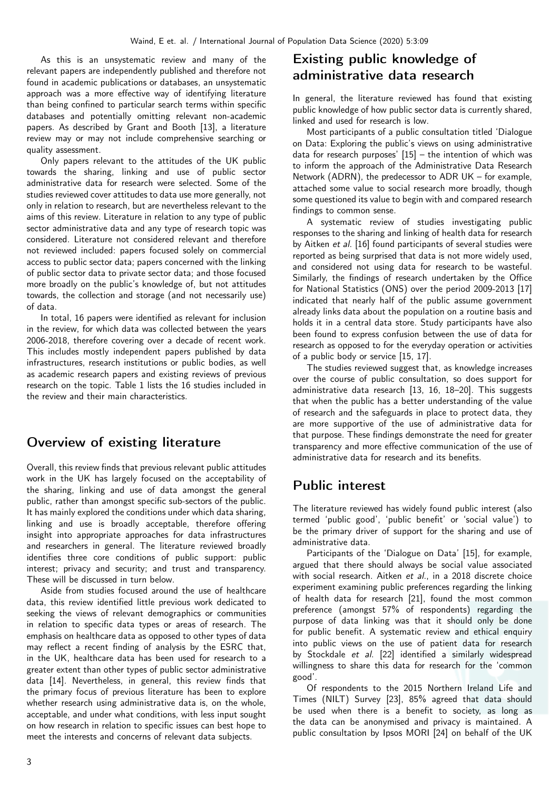As this is an unsystematic review and many of the relevant papers are independently published and therefore not found in academic publications or databases, an unsystematic approach was a more effective way of identifying literature than being confined to particular search terms within specific databases and potentially omitting relevant non-academic papers. As described by Grant and Booth [13], a literature review may or may not include comprehensive searching or quality assessment.

Only papers relevant to the attitudes of the UK public towards the sharing, linking and use of public sector administrative data for research were selected. Some of the studies reviewed cover attitudes to data use more generally, not only in relation to research, but are nevertheless relevant to the aims of this review. Literature in relation to any type of public sector administrative data and any type of research topic was considered. Literature not considered relevant and therefore not reviewed included: papers focused solely on commercial access to public sector data; papers concerned with the linking of public sector data to private sector data; and those focused more broadly on the public's knowledge of, but not attitudes towards, the collection and storage (and not necessarily use) of data.

In total, 16 papers were identified as relevant for inclusion in the review, for which data was collected between the years 2006-2018, therefore covering over a decade of recent work. This includes mostly independent papers published by data infrastructures, research institutions or public bodies, as well as academic research papers and existing reviews of previous research on the topic. Table 1 lists the 16 studies included in the review and their main characteristics.

# Overview of existing literature

Overall, this review finds that previous relevant public attitudes work in the UK has largely focused on the acceptability of the sharing, linking and use of data amongst the general public, rather than amongst specific sub-sectors of the public. It has mainly explored the conditions under which data sharing, linking and use is broadly acceptable, therefore offering insight into appropriate approaches for data infrastructures and researchers in general. The literature reviewed broadly identifies three core conditions of public support: public interest; privacy and security; and trust and transparency. These will be discussed in turn below.

Aside from studies focused around the use of healthcare data, this review identified little previous work dedicated to seeking the views of relevant demographics or communities in relation to specific data types or areas of research. The emphasis on healthcare data as opposed to other types of data may reflect a recent finding of analysis by the ESRC that, in the UK, healthcare data has been used for research to a greater extent than other types of public sector administrative data [14]. Nevertheless, in general, this review finds that the primary focus of previous literature has been to explore whether research using administrative data is, on the whole, acceptable, and under what conditions, with less input sought on how research in relation to specific issues can best hope to meet the interests and concerns of relevant data subjects.

# Existing public knowledge of administrative data research

In general, the literature reviewed has found that existing public knowledge of how public sector data is currently shared, linked and used for research is low.

Most participants of a public consultation titled 'Dialogue on Data: Exploring the public's views on using administrative data for research purposes'  $[15]$  – the intention of which was to inform the approach of the Administrative Data Research Network (ADRN), the predecessor to ADR UK – for example, attached some value to social research more broadly, though some questioned its value to begin with and compared research findings to common sense.

A systematic review of studies investigating public responses to the sharing and linking of health data for research by Aitken et al. [16] found participants of several studies were reported as being surprised that data is not more widely used, and considered not using data for research to be wasteful. Similarly, the findings of research undertaken by the Office for National Statistics (ONS) over the period 2009-2013 [17] indicated that nearly half of the public assume government already links data about the population on a routine basis and holds it in a central data store. Study participants have also been found to express confusion between the use of data for research as opposed to for the everyday operation or activities of a public body or service [\[15,](#page-9-0) [17\]](#page-9-1).

The studies reviewed suggest that, as knowledge increases over the course of public consultation, so does support for administrative data research [\[13,](#page-9-2) [16,](#page-9-3) [18–](#page-9-4)[20\]](#page-9-5). This suggests that when the public has a better understanding of the value of research and the safeguards in place to protect data, they are more supportive of the use of administrative data for that purpose. These findings demonstrate the need for greater transparency and more effective communication of the use of administrative data for research and its benefits.

# Public interest

The literature reviewed has widely found public interest (also termed 'public good', 'public benefit' or 'social value') to be the primary driver of support for the sharing and use of administrative data.

Participants of the 'Dialogue on Data' [15], for example, argued that there should always be social value associated with social research. Aitken et al., in a 2018 discrete choice experiment examining public preferences regarding the linking of health data for research [21], found the most common preference (amongst 57% of respondents) regarding the purpose of data linking was that it should only be done for public benefit. A systematic review and ethical enquiry into public views on the use of patient data for research by Stockdale et al. [22] identified a similarly widespread willingness to share this data for research for the 'common good'.

Of respondents to the 2015 Northern Ireland Life and Times (NILT) Survey [23], 85% agreed that data should be used when there is a benefit to society, as long as the data can be anonymised and privacy is maintained. A public consultation by Ipsos MORI [24] on behalf of the UK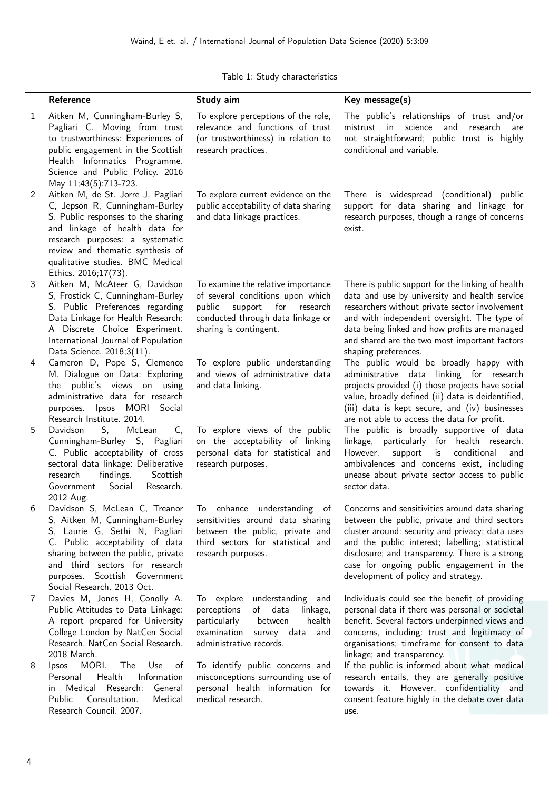| Table 1: Study characteristics |  |
|--------------------------------|--|
|--------------------------------|--|

|   | Reference                                                                                                                                                                                                                                                                       | Study aim                                                                                                                                                                     | Key message(s)                                                                                                                                                                                                                                                                                                                               |
|---|---------------------------------------------------------------------------------------------------------------------------------------------------------------------------------------------------------------------------------------------------------------------------------|-------------------------------------------------------------------------------------------------------------------------------------------------------------------------------|----------------------------------------------------------------------------------------------------------------------------------------------------------------------------------------------------------------------------------------------------------------------------------------------------------------------------------------------|
| 1 | Aitken M, Cunningham-Burley S,<br>Pagliari C. Moving from trust<br>to trustworthiness: Experiences of<br>public engagement in the Scottish<br>Health Informatics Programme.<br>Science and Public Policy. 2016<br>May 11;43(5):713-723.                                         | To explore perceptions of the role,<br>relevance and functions of trust<br>(or trustworthiness) in relation to<br>research practices.                                         | The public's relationships of trust and/or<br>mistrust in science and<br>research<br>are<br>not straightforward; public trust is highly<br>conditional and variable.                                                                                                                                                                         |
| 2 | Aitken M, de St. Jorre J, Pagliari<br>C, Jepson R, Cunningham-Burley<br>S. Public responses to the sharing<br>and linkage of health data for<br>research purposes: a systematic<br>review and thematic synthesis of<br>qualitative studies. BMC Medical<br>Ethics. 2016;17(73). | To explore current evidence on the<br>public acceptability of data sharing<br>and data linkage practices.                                                                     | There is widespread (conditional) public<br>support for data sharing and linkage for<br>research purposes, though a range of concerns<br>exist.                                                                                                                                                                                              |
| 3 | Aitken M, McAteer G, Davidson<br>S, Frostick C, Cunningham-Burley<br>S. Public Preferences regarding<br>Data Linkage for Health Research:<br>A Discrete Choice Experiment.<br>International Journal of Population<br>Data Science. 2018;3(11).                                  | To examine the relative importance<br>of several conditions upon which<br>support<br>public<br>for<br>research<br>conducted through data linkage or<br>sharing is contingent. | There is public support for the linking of health<br>data and use by university and health service<br>researchers without private sector involvement<br>and with independent oversight. The type of<br>data being linked and how profits are managed<br>and shared are the two most important factors<br>shaping preferences.                |
| 4 | Cameron D, Pope S, Clemence<br>M. Dialogue on Data: Exploring<br>public's views on using<br>the<br>administrative data for research<br>Ipsos MORI Social<br>purposes.<br>Research Institute. 2014.                                                                              | To explore public understanding<br>and views of administrative data<br>and data linking.                                                                                      | The public would be broadly happy with<br>administrative data linking for research<br>projects provided (i) those projects have social<br>value, broadly defined (ii) data is deidentified,<br>(iii) data is kept secure, and (iv) businesses<br>are not able to access the data for profit.                                                 |
| 5 | McLean<br>Davidson<br>S,<br>C,<br>Cunningham-Burley S, Pagliari<br>C. Public acceptability of cross<br>sectoral data linkage: Deliberative<br>research<br>Scottish<br>findings.<br>Government<br>Social<br>Research.<br>2012 Aug.                                               | To explore views of the public<br>on the acceptability of linking<br>personal data for statistical and<br>research purposes.                                                  | The public is broadly supportive of data<br>linkage, particularly for health research.<br>conditional<br>However,<br>support<br>is<br>and<br>ambivalences and concerns exist, including<br>unease about private sector access to public<br>sector data.                                                                                      |
| 6 | Davidson S, McLean C, Treanor<br>S, Aitken M, Cunningham-Burley<br>S, Laurie G, Sethi N, Pagliari<br>C. Public acceptability of data<br>sharing between the public, private<br>and third sectors for research<br>purposes. Scottish Government<br>Social Research. 2013 Oct.    | enhance understanding<br>$\circ$ f<br>To<br>sensitivities around data sharing<br>between the public, private and<br>third sectors for statistical and<br>research purposes.   | Concerns and sensitivities around data sharing<br>between the public, private and third sectors<br>cluster around: security and privacy; data uses<br>and the public interest; labelling; statistical<br>disclosure; and transparency. There is a strong<br>case for ongoing public engagement in the<br>development of policy and strategy. |
| 7 | Davies M, Jones H, Conolly A.<br>Public Attitudes to Data Linkage:<br>A report prepared for University<br>College London by NatCen Social<br>Research. NatCen Social Research.<br>2018 March.                                                                                   | understanding and<br>To explore<br>of<br>data<br>perceptions<br>linkage,<br>particularly<br>health<br>between<br>examination<br>survey data<br>and<br>administrative records. | Individuals could see the benefit of providing<br>personal data if there was personal or societal<br>benefit. Several factors underpinned views and<br>concerns, including: trust and legitimacy of<br>organisations; timeframe for consent to data<br>linkage; and transparency.                                                            |
| 8 | MORI.<br>The<br><b>lpsos</b><br><b>Use</b><br>of<br>Health<br>Information<br>Personal<br>Medical<br>Research:<br>General<br>in.<br>Public<br>Consultation.<br>Medical<br>Research Council. 2007.                                                                                | To identify public concerns and<br>misconceptions surrounding use of<br>personal health information for<br>medical research.                                                  | If the public is informed about what medical<br>research entails, they are generally positive<br>towards it. However, confidentiality and<br>consent feature highly in the debate over data<br>use.                                                                                                                                          |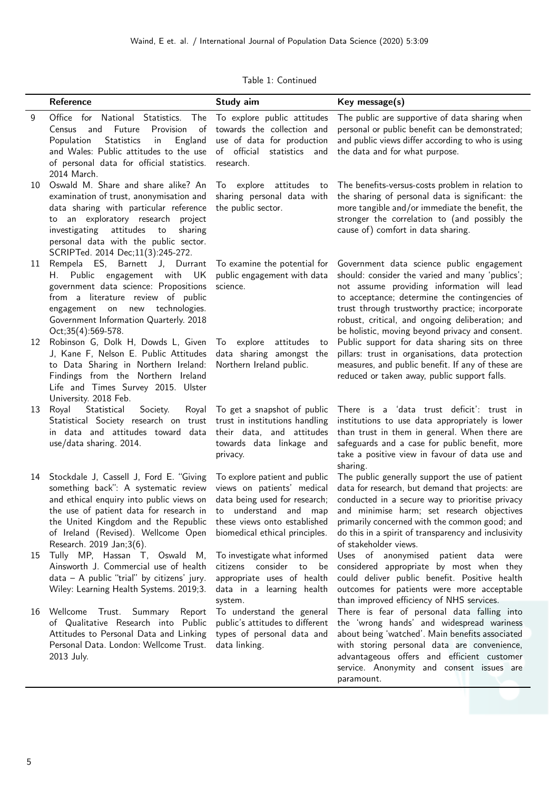|  | Table 1: Continued |
|--|--------------------|
|  |                    |

|    | Reference                                                                                                                                                                                                                                                                                                     | Study aim                                                                                                                                               | Key message(s)                                                                                                                                                                                                                                                                                                                                       |
|----|---------------------------------------------------------------------------------------------------------------------------------------------------------------------------------------------------------------------------------------------------------------------------------------------------------------|---------------------------------------------------------------------------------------------------------------------------------------------------------|------------------------------------------------------------------------------------------------------------------------------------------------------------------------------------------------------------------------------------------------------------------------------------------------------------------------------------------------------|
| 9  | Office for National Statistics. The<br>and Future<br>Provision<br>$\circ$ of<br>Census<br><b>Statistics</b><br>Population<br>England<br>in<br>and Wales: Public attitudes to the use of official<br>of personal data for official statistics.<br>2014 March.                                                  | To explore public attitudes<br>towards the collection and<br>use of data for production<br>statistics and<br>research.                                  | The public are supportive of data sharing when<br>personal or public benefit can be demonstrated;<br>and public views differ according to who is using<br>the data and for what purpose.                                                                                                                                                             |
| 10 | Oswald M. Share and share alike? An<br>examination of trust, anonymisation and<br>data sharing with particular reference<br>to an exploratory research project<br>investigating attitudes<br>to<br>sharing<br>personal data with the public sector.<br>SCRIPTed. 2014 Dec;11(3):245-272.                      | To explore attitudes to<br>sharing personal data with<br>the public sector.                                                                             | The benefits-versus-costs problem in relation to<br>the sharing of personal data is significant: the<br>more tangible and/or immediate the benefit, the<br>stronger the correlation to (and possibly the<br>cause of) comfort in data sharing.                                                                                                       |
| 11 | Rempela ES, Barnett J, Durrant<br>H. Public engagement with UK<br>government data science: Propositions<br>from a literature review of public<br>new technologies.<br>engagement on<br>Government Information Quarterly. 2018<br>Oct;35(4):569-578.                                                           | To examine the potential for<br>public engagement with data<br>science.                                                                                 | Government data science public engagement<br>should: consider the varied and many 'publics';<br>not assume providing information will lead<br>to acceptance; determine the contingencies of<br>trust through trustworthy practice; incorporate<br>robust, critical, and ongoing deliberation; and<br>be holistic, moving beyond privacy and consent. |
| 12 | Robinson G, Dolk H, Dowds L, Given<br>J, Kane F, Nelson E. Public Attitudes<br>to Data Sharing in Northern Ireland:<br>Findings from the Northern Ireland<br>Life and Times Survey 2015. Ulster<br>University. 2018 Feb.                                                                                      | To explore attitudes<br>to<br>data sharing amongst the<br>Northern Ireland public.                                                                      | Public support for data sharing sits on three<br>pillars: trust in organisations, data protection<br>measures, and public benefit. If any of these are<br>reduced or taken away, public support falls.                                                                                                                                               |
| 13 | Statistical<br>Royal<br>Society.<br>Royal<br>Statistical Society research on trust<br>in data and attitudes toward data<br>use/data sharing. 2014.                                                                                                                                                            | To get a snapshot of public<br>trust in institutions handling<br>their data, and attitudes<br>towards data linkage and<br>privacy.                      | There is a 'data trust deficit': trust in<br>institutions to use data appropriately is lower<br>than trust in them in general. When there are<br>safeguards and a case for public benefit, more<br>take a positive view in favour of data use and<br>sharing.                                                                                        |
| 14 | Stockdale J, Cassell J, Ford E. "Giving<br>something back": A systematic review<br>and ethical enquiry into public views on<br>the use of patient data for research in<br>the United Kingdom and the Republic these views onto established<br>of Ireland (Revised). Wellcome Open<br>Research. 2019 Jan;3(6). | To explore patient and public<br>views on patients' medical<br>data being used for research;<br>to understand and map<br>biomedical ethical principles. | The public generally support the use of patient<br>data for research, but demand that projects: are<br>conducted in a secure way to prioritise privacy<br>and minimise harm; set research objectives<br>primarily concerned with the common good; and<br>do this in a spirit of transparency and inclusivity<br>of stakeholder views.                |
| 15 | Tully MP, Hassan T, Oswald M,<br>Ainsworth J. Commercial use of health<br>$data - A public 'trial' by citizens' jury.$<br>Wiley: Learning Health Systems. 2019;3.                                                                                                                                             | To investigate what informed<br>citizens consider to<br>be<br>appropriate uses of health<br>data in a learning health<br>system.                        | Uses of anonymised patient data<br>were<br>considered appropriate by most when they<br>could deliver public benefit. Positive health<br>outcomes for patients were more acceptable<br>than improved efficiency of NHS services.                                                                                                                      |
| 16 | Trust. Summary Report<br>Wellcome<br>of Qualitative Research into Public<br>Attitudes to Personal Data and Linking<br>Personal Data. London: Wellcome Trust.<br>2013 July.                                                                                                                                    | To understand the general<br>public's attitudes to different<br>types of personal data and<br>data linking.                                             | There is fear of personal data falling into<br>the 'wrong hands' and widespread wariness<br>about being 'watched'. Main benefits associated<br>with storing personal data are convenience,<br>advantageous offers and efficient customer<br>service. Anonymity and consent issues are<br>paramount.                                                  |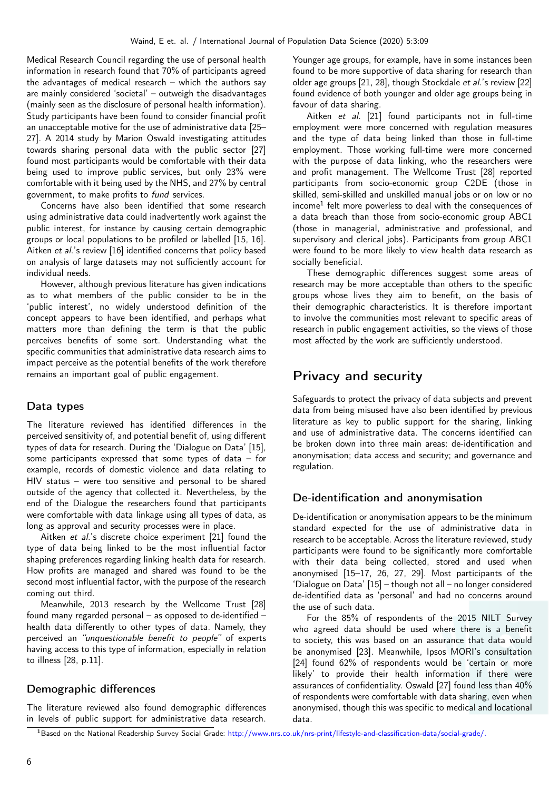Medical Research Council regarding the use of personal health information in research found that 70% of participants agreed the advantages of medical research – which the authors say are mainly considered 'societal' – outweigh the disadvantages (mainly seen as the disclosure of personal health information). Study participants have been found to consider financial profit an unacceptable motive for the use of administrative data [\[25–](#page-9-6) [27\]](#page-9-7). A 2014 study by Marion Oswald investigating attitudes towards sharing personal data with the public sector [27] found most participants would be comfortable with their data being used to improve public services, but only 23% were comfortable with it being used by the NHS, and 27% by central government, to make profits to fund services.

Concerns have also been identified that some research using administrative data could inadvertently work against the public interest, for instance by causing certain demographic groups or local populations to be profiled or labelled [\[15,](#page-9-0) [16\]](#page-9-3). Aitken et al.'s review [16] identified concerns that policy based on analysis of large datasets may not sufficiently account for individual needs.

However, although previous literature has given indications as to what members of the public consider to be in the 'public interest', no widely understood definition of the concept appears to have been identified, and perhaps what matters more than defining the term is that the public perceives benefits of some sort. Understanding what the specific communities that administrative data research aims to impact perceive as the potential benefits of the work therefore remains an important goal of public engagement.

### Data types

The literature reviewed has identified differences in the perceived sensitivity of, and potential benefit of, using different types of data for research. During the 'Dialogue on Data' [15], some participants expressed that some types of data – for example, records of domestic violence and data relating to HIV status – were too sensitive and personal to be shared outside of the agency that collected it. Nevertheless, by the end of the Dialogue the researchers found that participants were comfortable with data linkage using all types of data, as long as approval and security processes were in place.

Aitken et al.'s discrete choice experiment [21] found the type of data being linked to be the most influential factor shaping preferences regarding linking health data for research. How profits are managed and shared was found to be the second most influential factor, with the purpose of the research coming out third.

Meanwhile, 2013 research by the Wellcome Trust [28] found many regarded personal – as opposed to de-identified – health data differently to other types of data. Namely, they perceived an "unquestionable benefit to people" of experts having access to this type of information, especially in relation to illness [28, p.11].

### Demographic differences

The literature reviewed also found demographic differences in levels of public support for administrative data research.

Younger age groups, for example, have in some instances been found to be more supportive of data sharing for research than older age groups [\[21,](#page-9-8) [28\]](#page-9-9), though Stockdale et al.'s review [22] found evidence of both younger and older age groups being in favour of data sharing.

Aitken et al. [21] found participants not in full-time employment were more concerned with regulation measures and the type of data being linked than those in full-time employment. Those working full-time were more concerned with the purpose of data linking, who the researchers were and profit management. The Wellcome Trust [28] reported participants from socio-economic group C2DE (those in skilled, semi-skilled and unskilled manual jobs or on low or no income<sup>1</sup> felt more powerless to deal with the consequences of a data breach than those from socio-economic group ABC1 (those in managerial, administrative and professional, and supervisory and clerical jobs). Participants from group ABC1 were found to be more likely to view health data research as socially beneficial.

These demographic differences suggest some areas of research may be more acceptable than others to the specific groups whose lives they aim to benefit, on the basis of their demographic characteristics. It is therefore important to involve the communities most relevant to specific areas of research in public engagement activities, so the views of those most affected by the work are sufficiently understood.

# Privacy and security

Safeguards to protect the privacy of data subjects and prevent data from being misused have also been identified by previous literature as key to public support for the sharing, linking and use of administrative data. The concerns identified can be broken down into three main areas: de-identification and anonymisation; data access and security; and governance and regulation.

### De-identification and anonymisation

De-identification or anonymisation appears to be the minimum standard expected for the use of administrative data in research to be acceptable. Across the literature reviewed, study participants were found to be significantly more comfortable with their data being collected, stored and used when anonymised [\[15–](#page-9-0)[17,](#page-9-1) [26,](#page-9-10) [27,](#page-9-7) [29\]](#page-10-0). Most participants of the 'Dialogue on Data' [15] – though not all – no longer considered de-identified data as 'personal' and had no concerns around the use of such data.

For the 85% of respondents of the 2015 NILT Survey who agreed data should be used where there is a benefit to society, this was based on an assurance that data would be anonymised [23]. Meanwhile, Ipsos MORI's consultation [24] found 62% of respondents would be 'certain or more likely' to provide their health information if there were assurances of confidentiality. Oswald [27] found less than 40% of respondents were comfortable with data sharing, even when anonymised, though this was specific to medical and locational data.

<sup>1</sup>Based on the National Readership Survey Social Grade: [http://www.nrs.co.uk/nrs-print/lifestyle-and-classification-data/social-grade/.](http://www.nrs.co.uk/nrs-print/lifestyle-and-classification-data/social-grade/)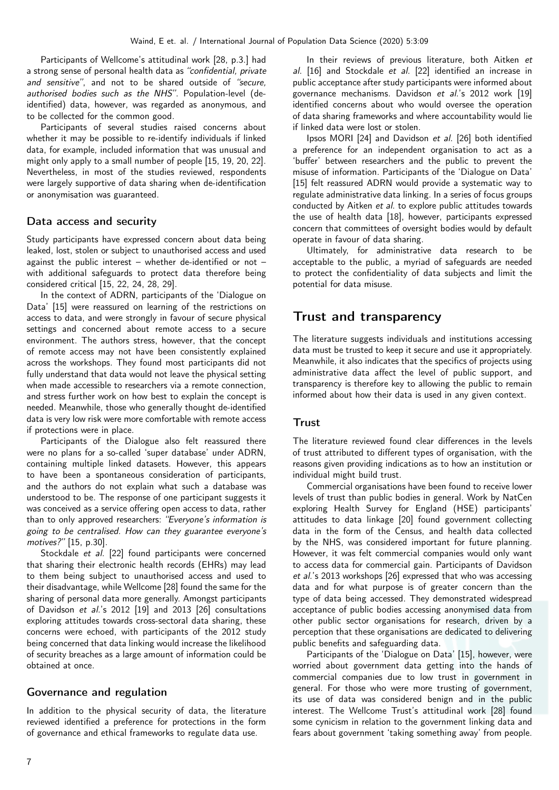Participants of Wellcome's attitudinal work [28, p.3.] had a strong sense of personal health data as "confidential, private and sensitive", and not to be shared outside of "secure, authorised bodies such as the NHS". Population-level (deidentified) data, however, was regarded as anonymous, and to be collected for the common good.

Participants of several studies raised concerns about whether it may be possible to re-identify individuals if linked data, for example, included information that was unusual and might only apply to a small number of people [\[15,](#page-9-0) [19,](#page-9-11) [20,](#page-9-5) [22\]](#page-9-12). Nevertheless, in most of the studies reviewed, respondents were largely supportive of data sharing when de-identification or anonymisation was guaranteed.

#### Data access and security

Study participants have expressed concern about data being leaked, lost, stolen or subject to unauthorised access and used against the public interest – whether de-identified or not – with additional safeguards to protect data therefore being considered critical [\[15,](#page-9-0) [22,](#page-9-12) [24,](#page-9-13) [28,](#page-9-9) [29\]](#page-10-0).

In the context of ADRN, participants of the 'Dialogue on Data' [15] were reassured on learning of the restrictions on access to data, and were strongly in favour of secure physical settings and concerned about remote access to a secure environment. The authors stress, however, that the concept of remote access may not have been consistently explained across the workshops. They found most participants did not fully understand that data would not leave the physical setting when made accessible to researchers via a remote connection, and stress further work on how best to explain the concept is needed. Meanwhile, those who generally thought de-identified data is very low risk were more comfortable with remote access if protections were in place.

Participants of the Dialogue also felt reassured there were no plans for a so-called 'super database' under ADRN, containing multiple linked datasets. However, this appears to have been a spontaneous consideration of participants, and the authors do not explain what such a database was understood to be. The response of one participant suggests it was conceived as a service offering open access to data, rather than to only approved researchers: "Everyone's information is going to be centralised. How can they guarantee everyone's motives?" [15, p.30].

Stockdale et al. [22] found participants were concerned that sharing their electronic health records (EHRs) may lead to them being subject to unauthorised access and used to their disadvantage, while Wellcome [28] found the same for the sharing of personal data more generally. Amongst participants of Davidson et al.'s 2012 [19] and 2013 [26] consultations exploring attitudes towards cross-sectoral data sharing, these concerns were echoed, with participants of the 2012 study being concerned that data linking would increase the likelihood of security breaches as a large amount of information could be obtained at once.

### Governance and regulation

In addition to the physical security of data, the literature reviewed identified a preference for protections in the form of governance and ethical frameworks to regulate data use.

In their reviews of previous literature, both Aitken et al. [16] and Stockdale et al. [22] identified an increase in public acceptance after study participants were informed about governance mechanisms. Davidson et al.'s 2012 work [19] identified concerns about who would oversee the operation of data sharing frameworks and where accountability would lie if linked data were lost or stolen.

Ipsos MORI [24] and Davidson et al. [26] both identified a preference for an independent organisation to act as a 'buffer' between researchers and the public to prevent the misuse of information. Participants of the 'Dialogue on Data' [15] felt reassured ADRN would provide a systematic way to regulate administrative data linking. In a series of focus groups conducted by Aitken et al. to explore public attitudes towards the use of health data [18], however, participants expressed concern that committees of oversight bodies would by default operate in favour of data sharing.

Ultimately, for administrative data research to be acceptable to the public, a myriad of safeguards are needed to protect the confidentiality of data subjects and limit the potential for data misuse.

### Trust and transparency

The literature suggests individuals and institutions accessing data must be trusted to keep it secure and use it appropriately. Meanwhile, it also indicates that the specifics of projects using administrative data affect the level of public support, and transparency is therefore key to allowing the public to remain informed about how their data is used in any given context.

#### **Trust**

The literature reviewed found clear differences in the levels of trust attributed to different types of organisation, with the reasons given providing indications as to how an institution or individual might build trust.

Commercial organisations have been found to receive lower levels of trust than public bodies in general. Work by NatCen exploring Health Survey for England (HSE) participants' attitudes to data linkage [20] found government collecting data in the form of the Census, and health data collected by the NHS, was considered important for future planning. However, it was felt commercial companies would only want to access data for commercial gain. Participants of Davidson et al.'s 2013 workshops [26] expressed that who was accessing data and for what purpose is of greater concern than the type of data being accessed. They demonstrated widespread acceptance of public bodies accessing anonymised data from other public sector organisations for research, driven by a perception that these organisations are dedicated to delivering public benefits and safeguarding data.

Participants of the 'Dialogue on Data' [15], however, were worried about government data getting into the hands of commercial companies due to low trust in government in general. For those who were more trusting of government, its use of data was considered benign and in the public interest. The Wellcome Trust's attitudinal work [28] found some cynicism in relation to the government linking data and fears about government 'taking something away' from people.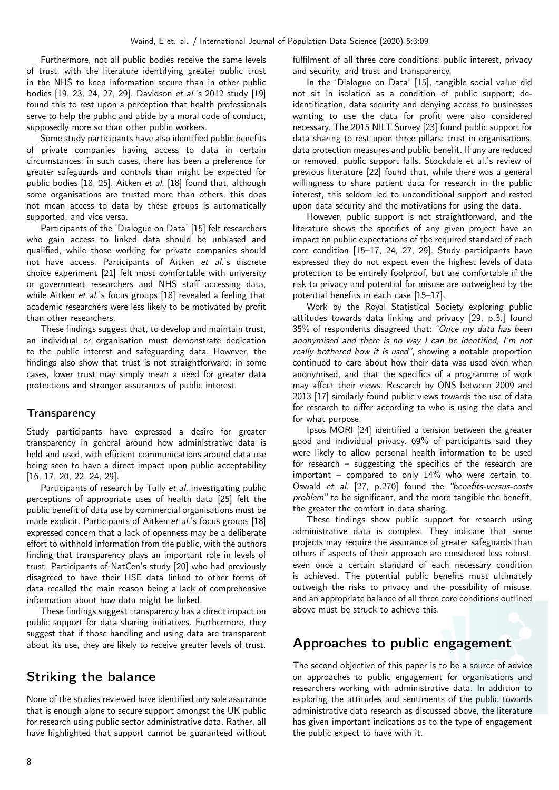Furthermore, not all public bodies receive the same levels of trust, with the literature identifying greater public trust in the NHS to keep information secure than in other public bodies [\[19,](#page-9-11) [23,](#page-9-14) [24,](#page-9-13) [27,](#page-9-7) [29\]](#page-10-0). Davidson et al.'s 2012 study [19] found this to rest upon a perception that health professionals serve to help the public and abide by a moral code of conduct, supposedly more so than other public workers.

Some study participants have also identified public benefits of private companies having access to data in certain circumstances; in such cases, there has been a preference for greater safeguards and controls than might be expected for public bodies [\[18,](#page-9-4) [25\]](#page-9-6). Aitken et al. [18] found that, although some organisations are trusted more than others, this does not mean access to data by these groups is automatically supported, and vice versa.

Participants of the 'Dialogue on Data' [15] felt researchers who gain access to linked data should be unbiased and qualified, while those working for private companies should not have access. Participants of Aitken et al.'s discrete choice experiment [21] felt most comfortable with university or government researchers and NHS staff accessing data, while Aitken et al.'s focus groups [18] revealed a feeling that academic researchers were less likely to be motivated by profit than other researchers.

These findings suggest that, to develop and maintain trust, an individual or organisation must demonstrate dedication to the public interest and safeguarding data. However, the findings also show that trust is not straightforward; in some cases, lower trust may simply mean a need for greater data protections and stronger assurances of public interest.

### **Transparency**

Study participants have expressed a desire for greater transparency in general around how administrative data is held and used, with efficient communications around data use being seen to have a direct impact upon public acceptability [\[16,](#page-9-3) [17,](#page-9-1) [20,](#page-9-5) [22,](#page-9-12) [24,](#page-9-13) [29\]](#page-10-0).

Participants of research by Tully et al. investigating public perceptions of appropriate uses of health data [25] felt the public benefit of data use by commercial organisations must be made explicit. Participants of Aitken et al.'s focus groups [18] expressed concern that a lack of openness may be a deliberate effort to withhold information from the public, with the authors finding that transparency plays an important role in levels of trust. Participants of NatCen's study [20] who had previously disagreed to have their HSE data linked to other forms of data recalled the main reason being a lack of comprehensive information about how data might be linked.

These findings suggest transparency has a direct impact on public support for data sharing initiatives. Furthermore, they suggest that if those handling and using data are transparent about its use, they are likely to receive greater levels of trust.

# Striking the balance

None of the studies reviewed have identified any sole assurance that is enough alone to secure support amongst the UK public for research using public sector administrative data. Rather, all have highlighted that support cannot be guaranteed without fulfilment of all three core conditions: public interest, privacy and security, and trust and transparency.

In the 'Dialogue on Data' [15], tangible social value did not sit in isolation as a condition of public support; deidentification, data security and denying access to businesses wanting to use the data for profit were also considered necessary. The 2015 NILT Survey [23] found public support for data sharing to rest upon three pillars: trust in organisations, data protection measures and public benefit. If any are reduced or removed, public support falls. Stockdale et al.'s review of previous literature [22] found that, while there was a general willingness to share patient data for research in the public interest, this seldom led to unconditional support and rested upon data security and the motivations for using the data.

However, public support is not straightforward, and the literature shows the specifics of any given project have an impact on public expectations of the required standard of each core condition [\[15–](#page-9-0)[17,](#page-9-1) [24,](#page-9-13) [27,](#page-9-7) [29\]](#page-10-0). Study participants have expressed they do not expect even the highest levels of data protection to be entirely foolproof, but are comfortable if the risk to privacy and potential for misuse are outweighed by the potential benefits in each case [\[15–](#page-9-0)[17\]](#page-9-1).

Work by the Royal Statistical Society exploring public attitudes towards data linking and privacy [29, p.3.] found 35% of respondents disagreed that: "Once my data has been anonymised and there is no way I can be identified, I'm not really bothered how it is used", showing a notable proportion continued to care about how their data was used even when anonymised, and that the specifics of a programme of work may affect their views. Research by ONS between 2009 and 2013 [17] similarly found public views towards the use of data for research to differ according to who is using the data and for what purpose.

Ipsos MORI [24] identified a tension between the greater good and individual privacy. 69% of participants said they were likely to allow personal health information to be used for research – suggesting the specifics of the research are important – compared to only  $14\%$  who were certain to. Oswald et al. [27, p.270] found the "benefits-versus-costs problem" to be significant, and the more tangible the benefit, the greater the comfort in data sharing.

These findings show public support for research using administrative data is complex. They indicate that some projects may require the assurance of greater safeguards than others if aspects of their approach are considered less robust, even once a certain standard of each necessary condition is achieved. The potential public benefits must ultimately outweigh the risks to privacy and the possibility of misuse, and an appropriate balance of all three core conditions outlined above must be struck to achieve this.

# Approaches to public engagement

The second objective of this paper is to be a source of advice on approaches to public engagement for organisations and researchers working with administrative data. In addition to exploring the attitudes and sentiments of the public towards administrative data research as discussed above, the literature has given important indications as to the type of engagement the public expect to have with it.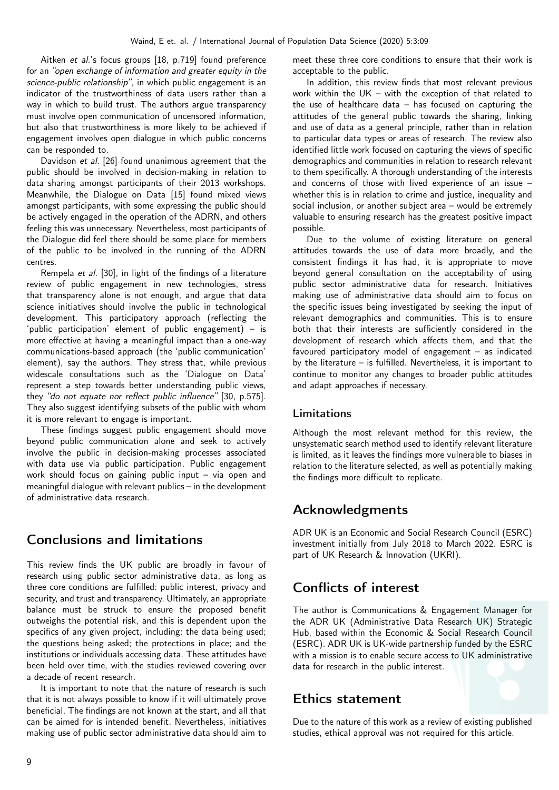Aitken et al.'s focus groups [18, p.719] found preference for an "open exchange of information and greater equity in the science-public relationship", in which public engagement is an indicator of the trustworthiness of data users rather than a way in which to build trust. The authors argue transparency must involve open communication of uncensored information, but also that trustworthiness is more likely to be achieved if engagement involves open dialogue in which public concerns can be responded to.

Davidson et al. [26] found unanimous agreement that the public should be involved in decision-making in relation to data sharing amongst participants of their 2013 workshops. Meanwhile, the Dialogue on Data [15] found mixed views amongst participants, with some expressing the public should be actively engaged in the operation of the ADRN, and others feeling this was unnecessary. Nevertheless, most participants of the Dialogue did feel there should be some place for members of the public to be involved in the running of the ADRN centres.

Rempela et al. [30], in light of the findings of a literature review of public engagement in new technologies, stress that transparency alone is not enough, and argue that data science initiatives should involve the public in technological development. This participatory approach (reflecting the 'public participation' element of public engagement) – is more effective at having a meaningful impact than a one-way communications-based approach (the 'public communication' element), say the authors. They stress that, while previous widescale consultations such as the 'Dialogue on Data' represent a step towards better understanding public views, they "do not equate nor reflect public influence" [30, p.575]. They also suggest identifying subsets of the public with whom it is more relevant to engage is important.

These findings suggest public engagement should move beyond public communication alone and seek to actively involve the public in decision-making processes associated with data use via public participation. Public engagement work should focus on gaining public input – via open and meaningful dialogue with relevant publics – in the development of administrative data research.

## Conclusions and limitations

This review finds the UK public are broadly in favour of research using public sector administrative data, as long as three core conditions are fulfilled: public interest, privacy and security, and trust and transparency. Ultimately, an appropriate balance must be struck to ensure the proposed benefit outweighs the potential risk, and this is dependent upon the specifics of any given project, including: the data being used; the questions being asked; the protections in place; and the institutions or individuals accessing data. These attitudes have been held over time, with the studies reviewed covering over a decade of recent research.

It is important to note that the nature of research is such that it is not always possible to know if it will ultimately prove beneficial. The findings are not known at the start, and all that can be aimed for is intended benefit. Nevertheless, initiatives making use of public sector administrative data should aim to

meet these three core conditions to ensure that their work is acceptable to the public.

In addition, this review finds that most relevant previous work within the UK – with the exception of that related to the use of healthcare data – has focused on capturing the attitudes of the general public towards the sharing, linking and use of data as a general principle, rather than in relation to particular data types or areas of research. The review also identified little work focused on capturing the views of specific demographics and communities in relation to research relevant to them specifically. A thorough understanding of the interests and concerns of those with lived experience of an issue – whether this is in relation to crime and justice, inequality and social inclusion, or another subject area – would be extremely valuable to ensuring research has the greatest positive impact possible.

Due to the volume of existing literature on general attitudes towards the use of data more broadly, and the consistent findings it has had, it is appropriate to move beyond general consultation on the acceptability of using public sector administrative data for research. Initiatives making use of administrative data should aim to focus on the specific issues being investigated by seeking the input of relevant demographics and communities. This is to ensure both that their interests are sufficiently considered in the development of research which affects them, and that the favoured participatory model of engagement – as indicated by the literature – is fulfilled. Nevertheless, it is important to continue to monitor any changes to broader public attitudes and adapt approaches if necessary.

### Limitations

Although the most relevant method for this review, the unsystematic search method used to identify relevant literature is limited, as it leaves the findings more vulnerable to biases in relation to the literature selected, as well as potentially making the findings more difficult to replicate.

# Acknowledgments

ADR UK is an Economic and Social Research Council (ESRC) investment initially from July 2018 to March 2022. ESRC is part of UK Research & Innovation (UKRI).

# Conflicts of interest

The author is Communications & Engagement Manager for the ADR UK (Administrative Data Research UK) Strategic Hub, based within the Economic & Social Research Council (ESRC). ADR UK is UK-wide partnership funded by the ESRC with a mission is to enable secure access to UK administrative data for research in the public interest.

## Ethics statement

Due to the nature of this work as a review of existing published studies, ethical approval was not required for this article.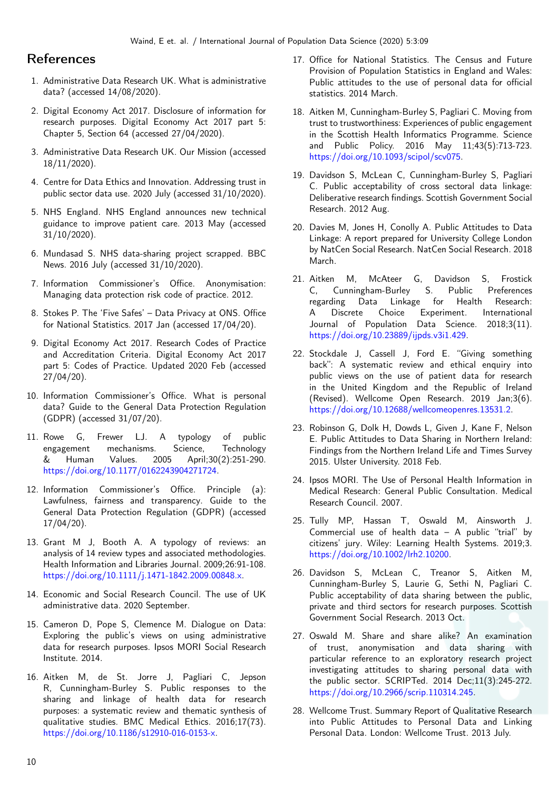### References

- 1. Administrative Data Research UK. What is administrative data? (accessed 14/08/2020).
- 2. Digital Economy Act 2017. Disclosure of information for research purposes. Digital Economy Act 2017 part 5: Chapter 5, Section 64 (accessed 27/04/2020).
- 3. Administrative Data Research UK. Our Mission (accessed 18/11/2020).
- 4. Centre for Data Ethics and Innovation. Addressing trust in public sector data use. 2020 July (accessed 31/10/2020).
- 5. NHS England. NHS England announces new technical guidance to improve patient care. 2013 May (accessed 31/10/2020).
- 6. Mundasad S. NHS data-sharing project scrapped. BBC News. 2016 July (accessed 31/10/2020).
- 7. Information Commissioner's Office. Anonymisation: Managing data protection risk code of practice. 2012.
- 8. Stokes P. The 'Five Safes' Data Privacy at ONS. Office for National Statistics. 2017 Jan (accessed 17/04/20).
- 9. Digital Economy Act 2017. Research Codes of Practice and Accreditation Criteria. Digital Economy Act 2017 part 5: Codes of Practice. Updated 2020 Feb (accessed 27/04/20).
- 10. Information Commissioner's Office. What is personal data? Guide to the General Data Protection Regulation (GDPR) (accessed 31/07/20).
- 11. Rowe G, Frewer LJ. A typology of public engagement mechanisms. Science, Technology & Human Values. 2005 April;30(2):251-290. [https://doi.org/10.1177/0162243904271724.](https://doi.org/10.1177/0162243904271724)
- 12. Information Commissioner's Office. Principle (a): Lawfulness, fairness and transparency. Guide to the General Data Protection Regulation (GDPR) (accessed 17/04/20).
- <span id="page-9-2"></span>13. Grant M J, Booth A. A typology of reviews: an analysis of 14 review types and associated methodologies. Health Information and Libraries Journal. 2009;26:91-108. [https://doi.org/10.1111/j.1471-1842.2009.00848.x.](https://doi.org/10.1111/j.1471-1842.2009.00848.x)
- 14. Economic and Social Research Council. The use of UK administrative data. 2020 September.
- <span id="page-9-0"></span>15. Cameron D, Pope S, Clemence M. Dialogue on Data: Exploring the public's views on using administrative data for research purposes. Ipsos MORI Social Research Institute. 2014.
- <span id="page-9-3"></span>16. Aitken M, de St. Jorre J, Pagliari C, Jepson R, Cunningham-Burley S. Public responses to the sharing and linkage of health data for research purposes: a systematic review and thematic synthesis of qualitative studies. BMC Medical Ethics. 2016;17(73). [https://doi.org/10.1186/s12910-016-0153-x.](https://doi.org/10.1186/s12910-016-0153-x)
- <span id="page-9-1"></span>17. Office for National Statistics. The Census and Future Provision of Population Statistics in England and Wales: Public attitudes to the use of personal data for official statistics. 2014 March.
- <span id="page-9-4"></span>18. Aitken M, Cunningham-Burley S, Pagliari C. Moving from trust to trustworthiness: Experiences of public engagement in the Scottish Health Informatics Programme. Science and Public Policy. 2016 May 11;43(5):713-723. [https://doi.org/10.1093/scipol/scv075.](https://doi.org/10.1093/scipol/scv075)
- <span id="page-9-11"></span>19. Davidson S, McLean C, Cunningham-Burley S, Pagliari C. Public acceptability of cross sectoral data linkage: Deliberative research findings. Scottish Government Social Research. 2012 Aug.
- <span id="page-9-5"></span>20. Davies M, Jones H, Conolly A. Public Attitudes to Data Linkage: A report prepared for University College London by NatCen Social Research. NatCen Social Research. 2018 March.
- <span id="page-9-8"></span>21. Aitken M, McAteer G, Davidson S, Frostick C, Cunningham-Burley S. Public Preferences regarding Data Linkage for Health Research: A Discrete Choice Experiment. International Journal of Population Data Science. 2018;3(11). [https://doi.org/10.23889/ijpds.v3i1.429.](https://doi.org/10.23889/ijpds.v3i1.429)
- <span id="page-9-12"></span>22. Stockdale J, Cassell J, Ford E. "Giving something back": A systematic review and ethical enquiry into public views on the use of patient data for research in the United Kingdom and the Republic of Ireland (Revised). Wellcome Open Research. 2019 Jan;3(6). [https://doi.org/10.12688/wellcomeopenres.13531.2.](https://doi.org/10.12688/wellcomeopenres.13531.2)
- <span id="page-9-14"></span>23. Robinson G, Dolk H, Dowds L, Given J, Kane F, Nelson E. Public Attitudes to Data Sharing in Northern Ireland: Findings from the Northern Ireland Life and Times Survey 2015. Ulster University. 2018 Feb.
- <span id="page-9-13"></span>24. Ipsos MORI. The Use of Personal Health Information in Medical Research: General Public Consultation. Medical Research Council. 2007.
- <span id="page-9-6"></span>25. Tully MP, Hassan T, Oswald M, Ainsworth J. Commercial use of health data  $-$  A public "trial" by citizens' jury. Wiley: Learning Health Systems. 2019;3. [https://doi.org/10.1002/lrh2.10200.](https://doi.org/10.1002/lrh2.10200)
- <span id="page-9-10"></span>26. Davidson S, McLean C, Treanor S, Aitken M, Cunningham-Burley S, Laurie G, Sethi N, Pagliari C. Public acceptability of data sharing between the public, private and third sectors for research purposes. Scottish Government Social Research. 2013 Oct.
- <span id="page-9-7"></span>27. Oswald M. Share and share alike? An examination of trust, anonymisation and data sharing with particular reference to an exploratory research project investigating attitudes to sharing personal data with the public sector. SCRIPTed. 2014 Dec;11(3):245-272. [https://doi.org/10.2966/scrip.110314.245.](https://doi.org/10.2966/scrip.110314.245)
- <span id="page-9-9"></span>28. Wellcome Trust. Summary Report of Qualitative Research into Public Attitudes to Personal Data and Linking Personal Data. London: Wellcome Trust. 2013 July.